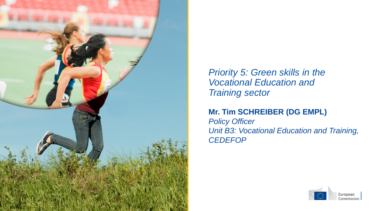

*Priority 5: Green skills in the Vocational Education and Training sector*

#### **Mr. Tim SCHREIBER (DG EMPL)**

*Policy Officer Unit B3: Vocational Education and Training, CEDEFOP*

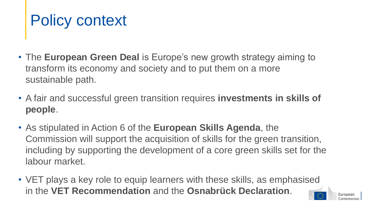### Policy context

- The **European Green Deal** is Europe's new growth strategy aiming to transform its economy and society and to put them on a more sustainable path.
- A fair and successful green transition requires **investments in skills of people**.
- As stipulated in Action 6 of the **European Skills Agenda**, the Commission will support the acquisition of skills for the green transition, including by supporting the development of a core green skills set for the labour market.
- VET plays a key role to equip learners with these skills, as emphasised in the **VET Recommendation** and the **Osnabrück Declaration**.

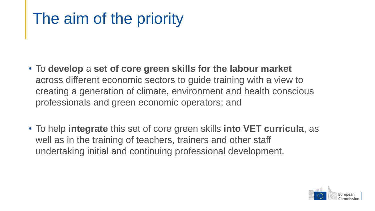## The aim of the priority

- To **develop** a **set of core green skills for the labour market**  across different economic sectors to guide training with a view to creating a generation of climate, environment and health conscious professionals and green economic operators; and
- To help **integrate** this set of core green skills **into VET curricula**, as well as in the training of teachers, trainers and other staff undertaking initial and continuing professional development.

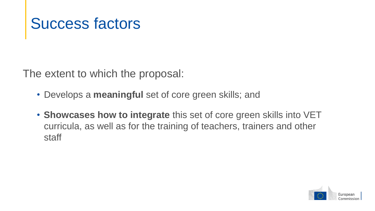#### Success factors

The extent to which the proposal:

- Develops a **meaningful** set of core green skills; and
- **Showcases how to integrate** this set of core green skills into VET curricula, as well as for the training of teachers, trainers and other staff

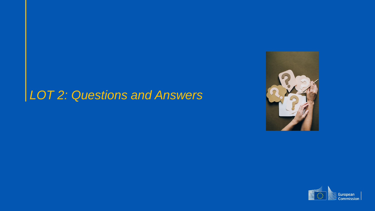#### *LOT 2: Questions and Answers*